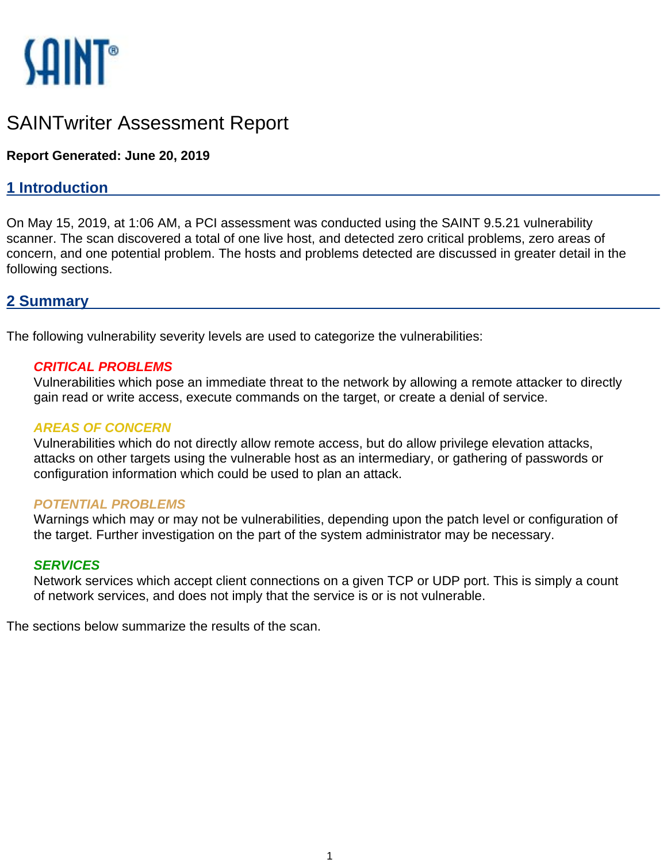

# SAINTwriter Assessment Report

## **Report Generated: June 20, 2019**

# **1 Introduction**

On May 15, 2019, at 1:06 AM, a PCI assessment was conducted using the SAINT 9.5.21 vulnerability scanner. The scan discovered a total of one live host, and detected zero critical problems, zero areas of concern, and one potential problem. The hosts and problems detected are discussed in greater detail in the following sections.

## **2 Summary**

The following vulnerability severity levels are used to categorize the vulnerabilities:

### **CRITICAL PROBLEMS**

Vulnerabilities which pose an immediate threat to the network by allowing a remote attacker to directly gain read or write access, execute commands on the target, or create a denial of service.

### **AREAS OF CONCERN**

Vulnerabilities which do not directly allow remote access, but do allow privilege elevation attacks, attacks on other targets using the vulnerable host as an intermediary, or gathering of passwords or configuration information which could be used to plan an attack.

### **POTENTIAL PROBLEMS**

Warnings which may or may not be vulnerabilities, depending upon the patch level or configuration of the target. Further investigation on the part of the system administrator may be necessary.

### **SERVICES**

Network services which accept client connections on a given TCP or UDP port. This is simply a count of network services, and does not imply that the service is or is not vulnerable.

The sections below summarize the results of the scan.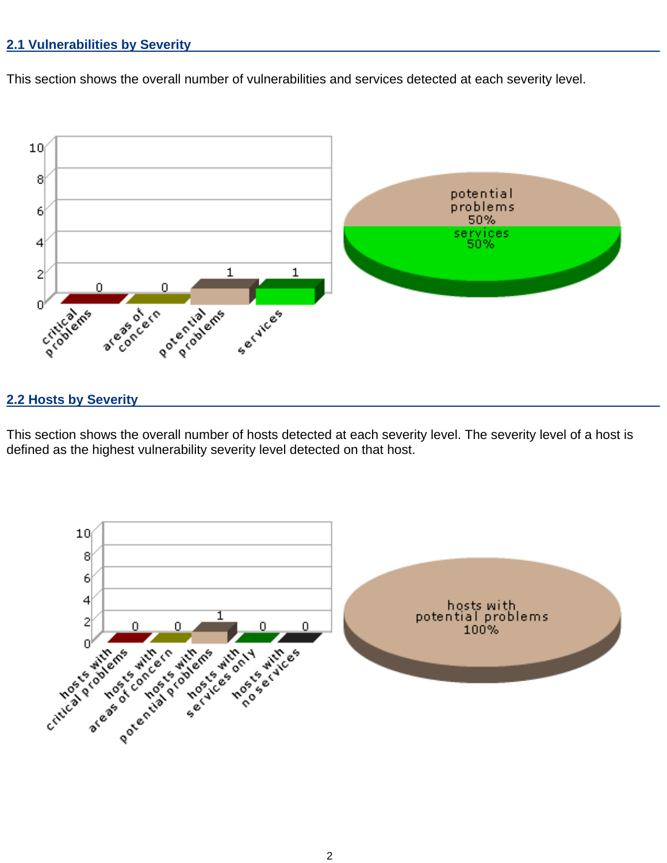### **2.1 Vulnerabilities by Severity**

This section shows the overall number of vulnerabilities and services detected at each severity level.



### **2.2 Hosts by Severity**

This section shows the overall number of hosts detected at each severity level. The severity level of a host is defined as the highest vulnerability severity level detected on that host.

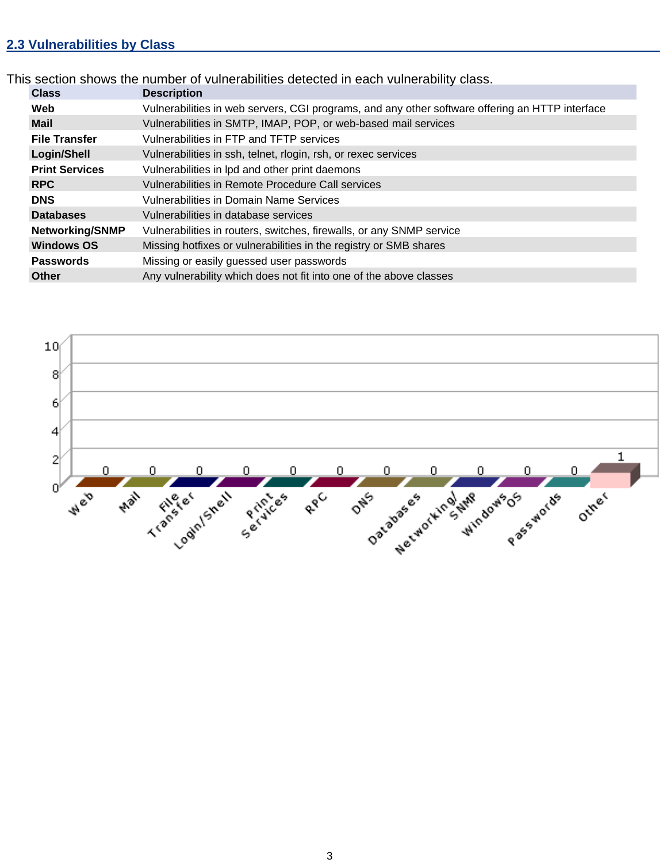# **2.3 Vulnerabilities by Class**

This section shows the number of vulnerabilities detected in each vulnerability class.

| <b>Class</b>           | <b>Description</b>                                                                              |  |  |  |  |
|------------------------|-------------------------------------------------------------------------------------------------|--|--|--|--|
| Web                    | Vulnerabilities in web servers, CGI programs, and any other software offering an HTTP interface |  |  |  |  |
| <b>Mail</b>            | Vulnerabilities in SMTP, IMAP, POP, or web-based mail services                                  |  |  |  |  |
| <b>File Transfer</b>   | Vulnerabilities in FTP and TFTP services                                                        |  |  |  |  |
| Login/Shell            | Vulnerabilities in ssh, telnet, rlogin, rsh, or rexec services                                  |  |  |  |  |
| <b>Print Services</b>  | Vulnerabilities in Ipd and other print daemons                                                  |  |  |  |  |
| <b>RPC</b>             | Vulnerabilities in Remote Procedure Call services                                               |  |  |  |  |
| <b>DNS</b>             | Vulnerabilities in Domain Name Services                                                         |  |  |  |  |
| <b>Databases</b>       | Vulnerabilities in database services                                                            |  |  |  |  |
| <b>Networking/SNMP</b> | Vulnerabilities in routers, switches, firewalls, or any SNMP service                            |  |  |  |  |
| <b>Windows OS</b>      | Missing hotfixes or vulnerabilities in the registry or SMB shares                               |  |  |  |  |
| <b>Passwords</b>       | Missing or easily guessed user passwords                                                        |  |  |  |  |
| <b>Other</b>           | Any vulnerability which does not fit into one of the above classes                              |  |  |  |  |

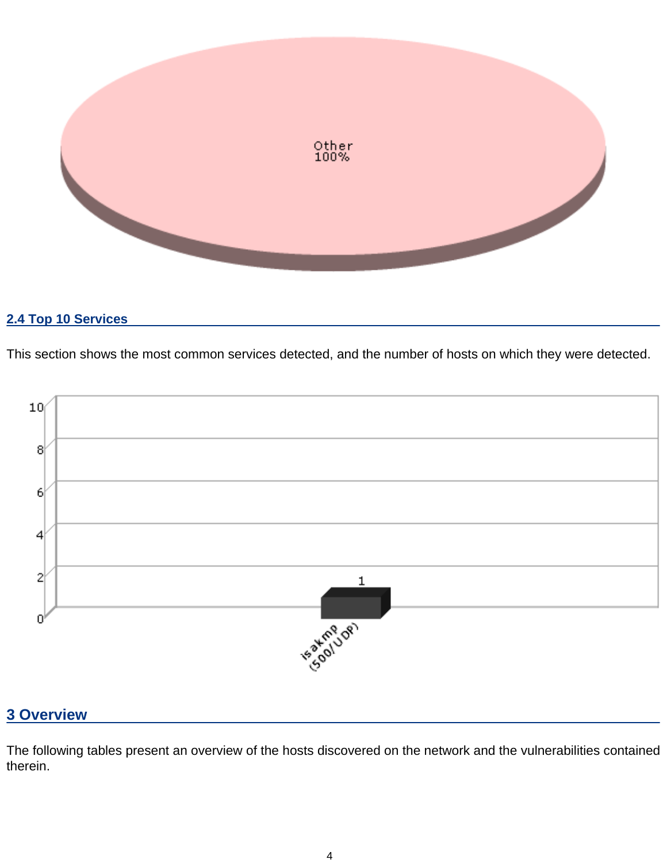

# **2.4 Top 10 Services**

This section shows the most common services detected, and the number of hosts on which they were detected.



# **3 Overview**

The following tables present an overview of the hosts discovered on the network and the vulnerabilities contained therein.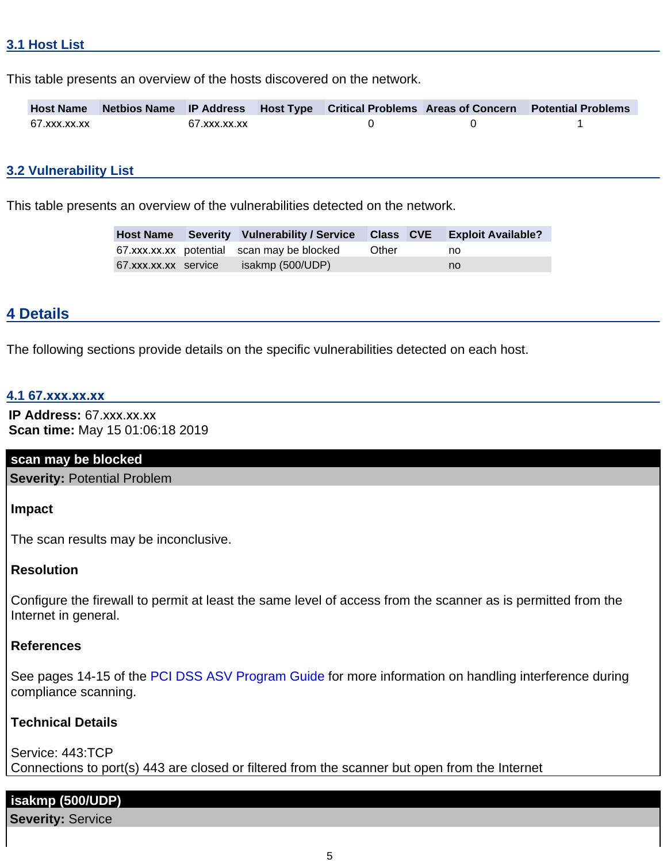This table presents an overview of the hosts discovered on the network.

|              |              |  | Host Name Netbios Name IP Address Host Type Critical Problems Areas of Concern Potential Problems |
|--------------|--------------|--|---------------------------------------------------------------------------------------------------|
| 67.xxx.xx.xx | 67.xxx.xx.xx |  |                                                                                                   |

#### **3.2 Vulnerability List**

This table presents an overview of the vulnerabilities detected on the network.

|                      | Host Name Severity Vulnerability / Service Class CVE Exploit Available? |       |    |
|----------------------|-------------------------------------------------------------------------|-------|----|
|                      | 67.xxx.xx.xx potential scan may be blocked                              | Other | no |
| 67.xxx.xx.xx service | isakmp (500/UDP)                                                        |       | no |

#### **4 Details**

The following sections provide details on the specific vulnerabilities detected on each host.

### **4.1 67.xxx.xx.xx**

**IP Address:** 67.xxx.xx.xx **Scan time:** May 15 01:06:18 2019

#### **scan may be blocked**

**Severity:** Potential Problem

**Impact**

The scan results may be inconclusive.

### **Resolution**

Configure the firewall to permit at least the same level of access from the scanner as is permitted from the Internet in general.

#### **References**

See pages 14-15 of the PCI DSS ASV Program Guide for more information on handling interference during compliance scanning.

### **Technical Details**

Service: 443:TCP Connections to port(s) 443 are closed or filtered from the scanner but open from the Internet

### **isakmp (500/UDP)**

**Severity:** Service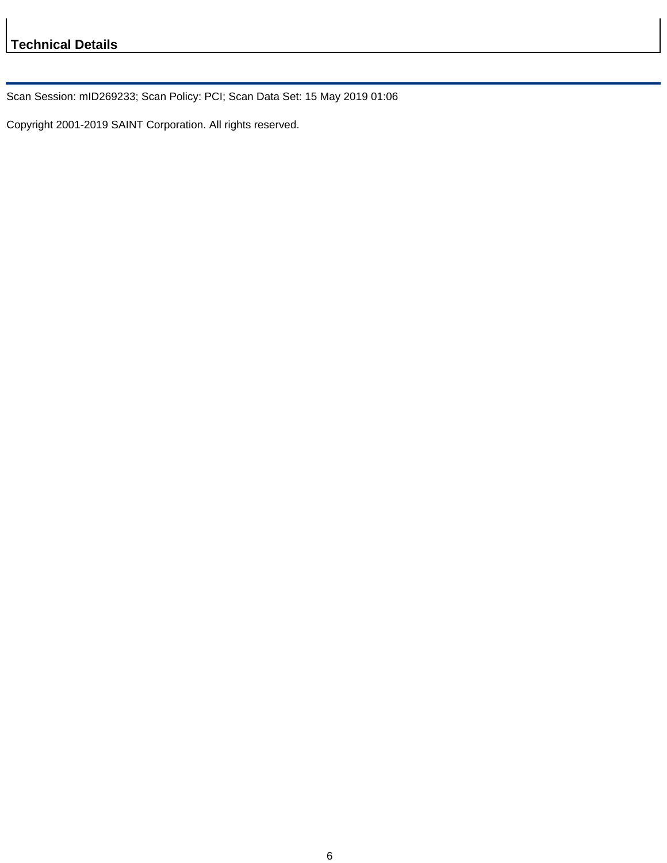Scan Session: mID269233; Scan Policy: PCI; Scan Data Set: 15 May 2019 01:06

Copyright 2001-2019 SAINT Corporation. All rights reserved.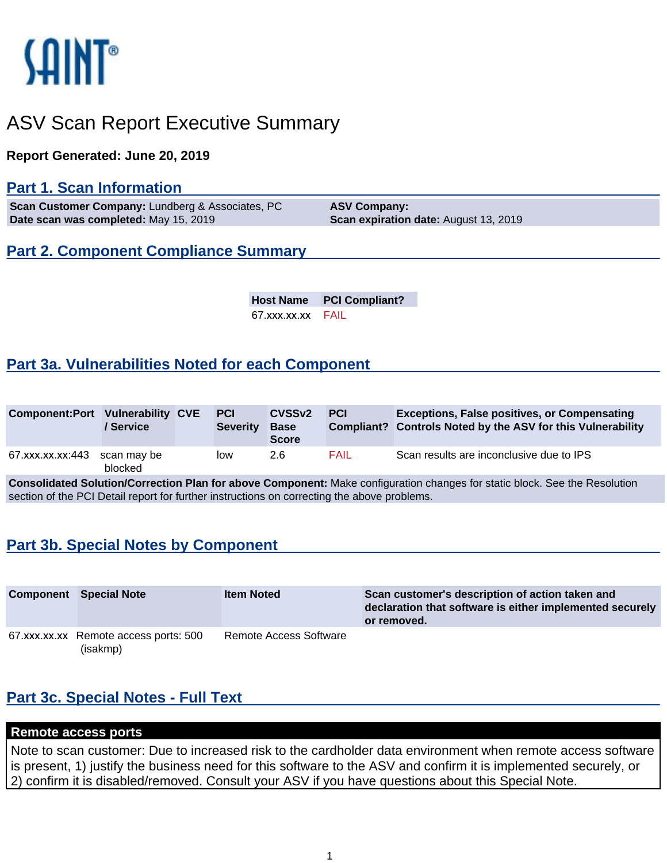

# ASV Scan Report Executive Summary

**Report Generated: June 20, 2019**

# **Part 1. Scan Information**

**Scan Customer Company: Lundberg & Associates, PC <b>ASV Company: Date scan was completed:** May 15, 2019 **Scan expiration date:** August 13, 2019

# **Part 2. Component Compliance Summary**

**Host Name PCI Compliant?** 67.xxx.xx.xx FAIL

# **Part 3a. Vulnerabilities Noted for each Component**

| <b>Component:Port Vulnerability CVE</b> | ' Service              | <b>PCI</b><br><b>Severity</b> | CVSS <sub>v2</sub><br><b>Base</b><br><b>Score</b> | <b>PCI</b> | <b>Exceptions, False positives, or Compensating</b><br>Compliant? Controls Noted by the ASV for this Vulnerability |
|-----------------------------------------|------------------------|-------------------------------|---------------------------------------------------|------------|--------------------------------------------------------------------------------------------------------------------|
| 67.xxx.xx.xx:443                        | scan mav be<br>blocked | low                           | 2.6                                               | FAIL       | Scan results are inconclusive due to IPS                                                                           |

**Consolidated Solution/Correction Plan for above Component:** Make configuration changes for static block. See the Resolution section of the PCI Detail report for further instructions on correcting the above problems.

# **Part 3b. Special Notes by Component**

| <b>Component</b> | <b>Special Note</b>                               | <b>Item Noted</b>      | Scan customer's description of action taken and<br>declaration that software is either implemented securely<br>or removed. |
|------------------|---------------------------------------------------|------------------------|----------------------------------------------------------------------------------------------------------------------------|
|                  | 67.xxx.xx.xx Remote access ports: 500<br>(isakmp) | Remote Access Software |                                                                                                                            |

# **Part 3c. Special Notes - Full Text**

### **Remote access ports**

Note to scan customer: Due to increased risk to the cardholder data environment when remote access software is present, 1) justify the business need for this software to the ASV and confirm it is implemented securely, or 2) confirm it is disabled/removed. Consult your ASV if you have questions about this Special Note.